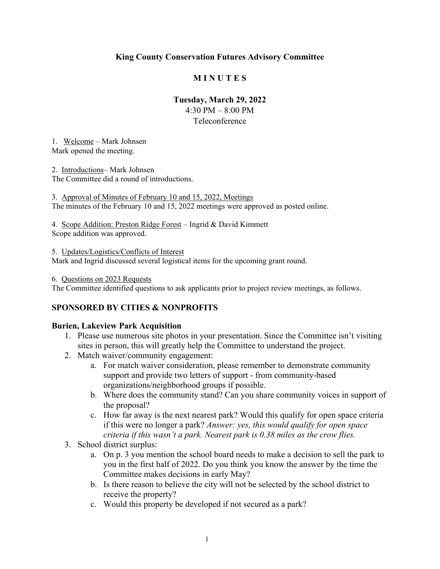#### **King County Conservation Futures Advisory Committee**

#### **M I N U T E S**

#### **Tuesday, March 29, 2022**

4:30 PM – 8:00 PM Teleconference

1. Welcome – Mark Johnsen Mark opened the meeting.

2. Introductions– Mark Johnsen The Committee did a round of introductions.

3. Approval of Minutes of February 10 and 15, 2022, Meetings The minutes of the February 10 and 15, 2022 meetings were approved as posted online.

4. Scope Addition: Preston Ridge Forest – Ingrid & David Kimmett Scope addition was approved.

5. Updates/Logistics/Conflicts of Interest Mark and Ingrid discussed several logistical items for the upcoming grant round.

#### 6. Questions on 2023 Requests

The Committee identified questions to ask applicants prior to project review meetings, as follows.

#### **SPONSORED BY CITIES & NONPROFITS**

#### **Burien, Lakeview Park Acquisition**

- 1. Please use numerous site photos in your presentation. Since the Committee isn't visiting sites in person, this will greatly help the Committee to understand the project.
- 2. Match waiver/community engagement:
	- a. For match waiver consideration, please remember to demonstrate community support and provide two letters of support - from community-based organizations/neighborhood groups if possible.
	- b. Where does the community stand? Can you share community voices in support of the proposal?
	- c. How far away is the next nearest park? Would this qualify for open space criteria if this were no longer a park? *Answer: yes, this would qualify for open space criteria if this wasn't a park. Nearest park is 0.38 miles as the crow flies.*
- 3. School district surplus:
	- a. On p. 3 you mention the school board needs to make a decision to sell the park to you in the first half of 2022. Do you think you know the answer by the time the Committee makes decisions in early May?
	- b. Is there reason to believe the city will not be selected by the school district to receive the property?
	- c. Would this property be developed if not secured as a park?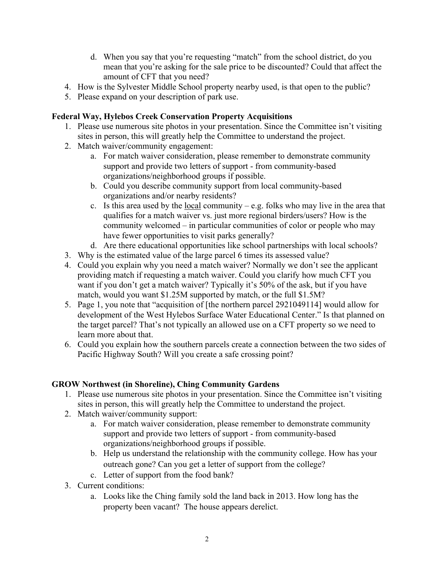- d. When you say that you're requesting "match" from the school district, do you mean that you're asking for the sale price to be discounted? Could that affect the amount of CFT that you need?
- 4. How is the Sylvester Middle School property nearby used, is that open to the public?
- 5. Please expand on your description of park use.

### **Federal Way, Hylebos Creek Conservation Property Acquisitions**

- 1. Please use numerous site photos in your presentation. Since the Committee isn't visiting sites in person, this will greatly help the Committee to understand the project.
- 2. Match waiver/community engagement:
	- a. For match waiver consideration, please remember to demonstrate community support and provide two letters of support - from community-based organizations/neighborhood groups if possible.
	- b. Could you describe community support from local community-based organizations and/or nearby residents?
	- c. Is this area used by the local community e.g. folks who may live in the area that qualifies for a match waiver vs. just more regional birders/users? How is the community welcomed – in particular communities of color or people who may have fewer opportunities to visit parks generally?
	- d. Are there educational opportunities like school partnerships with local schools?
- 3. Why is the estimated value of the large parcel 6 times its assessed value?
- 4. Could you explain why you need a match waiver? Normally we don't see the applicant providing match if requesting a match waiver. Could you clarify how much CFT you want if you don't get a match waiver? Typically it's 50% of the ask, but if you have match, would you want \$1.25M supported by match, or the full \$1.5M?
- 5. Page 1, you note that "acquisition of [the northern parcel 2921049114] would allow for development of the West Hylebos Surface Water Educational Center." Is that planned on the target parcel? That's not typically an allowed use on a CFT property so we need to learn more about that.
- 6. Could you explain how the southern parcels create a connection between the two sides of Pacific Highway South? Will you create a safe crossing point?

## **GROW Northwest (in Shoreline), Ching Community Gardens**

- 1. Please use numerous site photos in your presentation. Since the Committee isn't visiting sites in person, this will greatly help the Committee to understand the project.
- 2. Match waiver/community support:
	- a. For match waiver consideration, please remember to demonstrate community support and provide two letters of support - from community-based organizations/neighborhood groups if possible.
	- b. Help us understand the relationship with the community college. How has your outreach gone? Can you get a letter of support from the college?
	- c. Letter of support from the food bank?
- 3. Current conditions:
	- a. Looks like the Ching family sold the land back in 2013. How long has the property been vacant? The house appears derelict.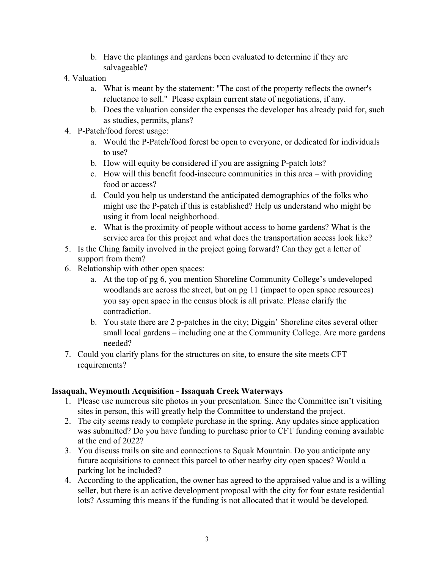- b. Have the plantings and gardens been evaluated to determine if they are salvageable?
- 4. Valuation
	- a. What is meant by the statement: "The cost of the property reflects the owner's reluctance to sell." Please explain current state of negotiations, if any.
	- b. Does the valuation consider the expenses the developer has already paid for, such as studies, permits, plans?
- 4. P-Patch/food forest usage:
	- a. Would the P-Patch/food forest be open to everyone, or dedicated for individuals to use?
	- b. How will equity be considered if you are assigning P-patch lots?
	- c. How will this benefit food-insecure communities in this area with providing food or access?
	- d. Could you help us understand the anticipated demographics of the folks who might use the P-patch if this is established? Help us understand who might be using it from local neighborhood.
	- e. What is the proximity of people without access to home gardens? What is the service area for this project and what does the transportation access look like?
- 5. Is the Ching family involved in the project going forward? Can they get a letter of support from them?
- 6. Relationship with other open spaces:
	- a. At the top of pg 6, you mention Shoreline Community College's undeveloped woodlands are across the street, but on pg 11 (impact to open space resources) you say open space in the census block is all private. Please clarify the contradiction.
	- b. You state there are 2 p-patches in the city; Diggin' Shoreline cites several other small local gardens – including one at the Community College. Are more gardens needed?
- 7. Could you clarify plans for the structures on site, to ensure the site meets CFT requirements?

## **Issaquah, Weymouth Acquisition - Issaquah Creek Waterways**

- 1. Please use numerous site photos in your presentation. Since the Committee isn't visiting sites in person, this will greatly help the Committee to understand the project.
- 2. The city seems ready to complete purchase in the spring. Any updates since application was submitted? Do you have funding to purchase prior to CFT funding coming available at the end of 2022?
- 3. You discuss trails on site and connections to Squak Mountain. Do you anticipate any future acquisitions to connect this parcel to other nearby city open spaces? Would a parking lot be included?
- 4. According to the application, the owner has agreed to the appraised value and is a willing seller, but there is an active development proposal with the city for four estate residential lots? Assuming this means if the funding is not allocated that it would be developed.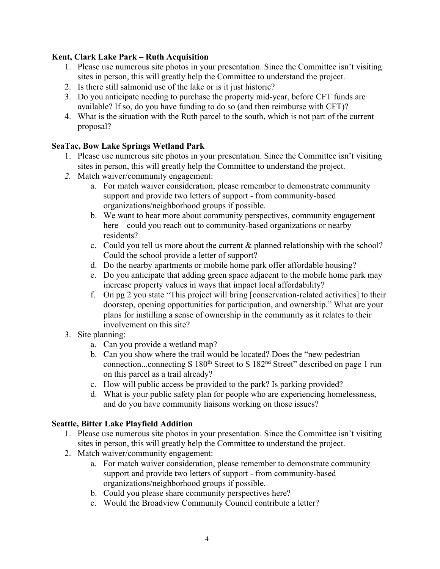#### **Kent, Clark Lake Park – Ruth Acquisition**

- 1. Please use numerous site photos in your presentation. Since the Committee isn't visiting sites in person, this will greatly help the Committee to understand the project.
- 2. Is there still salmonid use of the lake or is it just historic?
- 3. Do you anticipate needing to purchase the property mid-year, before CFT funds are available? If so, do you have funding to do so (and then reimburse with CFT)?
- 4. What is the situation with the Ruth parcel to the south, which is not part of the current proposal?

### **SeaTac, Bow Lake Springs Wetland Park**

- 1. Please use numerous site photos in your presentation. Since the Committee isn't visiting sites in person, this will greatly help the Committee to understand the project.
- *2.* Match waiver/community engagement:
	- a. For match waiver consideration, please remember to demonstrate community support and provide two letters of support - from community-based organizations/neighborhood groups if possible.
	- b. We want to hear more about community perspectives, community engagement here – could you reach out to community-based organizations or nearby residents?
	- c. Could you tell us more about the current & planned relationship with the school? Could the school provide a letter of support?
	- d. Do the nearby apartments or mobile home park offer affordable housing?
	- e. Do you anticipate that adding green space adjacent to the mobile home park may increase property values in ways that impact local affordability?
	- f. On pg 2 you state "This project will bring [conservation-related activities] to their doorstep, opening opportunities for participation, and ownership." What are your plans for instilling a sense of ownership in the community as it relates to their involvement on this site?
- 3. Site planning:
	- a. Can you provide a wetland map?
	- b. Can you show where the trail would be located? Does the "new pedestrian connection...connecting S 180<sup>th</sup> Street to S 182<sup>nd</sup> Street" described on page 1 run on this parcel as a trail already?
	- c. How will public access be provided to the park? Is parking provided?
	- d. What is your public safety plan for people who are experiencing homelessness, and do you have community liaisons working on those issues?

#### **Seattle, Bitter Lake Playfield Addition**

- 1. Please use numerous site photos in your presentation. Since the Committee isn't visiting sites in person, this will greatly help the Committee to understand the project.
- 2. Match waiver/community engagement:
	- a. For match waiver consideration, please remember to demonstrate community support and provide two letters of support - from community-based organizations/neighborhood groups if possible.
	- b. Could you please share community perspectives here?
	- c. Would the Broadview Community Council contribute a letter?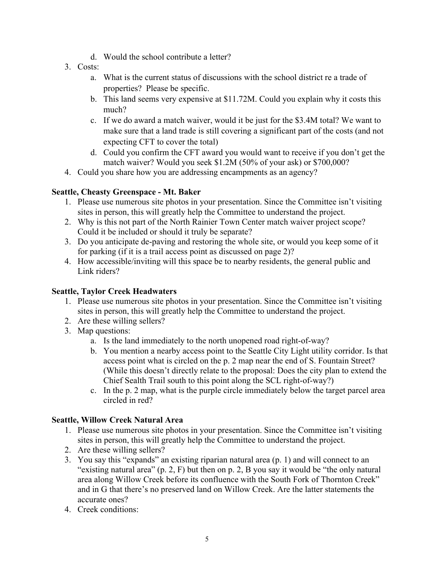- d. Would the school contribute a letter?
- 3. Costs:
	- a. What is the current status of discussions with the school district re a trade of properties? Please be specific.
	- b. This land seems very expensive at \$11.72M. Could you explain why it costs this much?
	- c. If we do award a match waiver, would it be just for the \$3.4M total? We want to make sure that a land trade is still covering a significant part of the costs (and not expecting CFT to cover the total)
	- d. Could you confirm the CFT award you would want to receive if you don't get the match waiver? Would you seek \$1.2M (50% of your ask) or \$700,000?
- 4. Could you share how you are addressing encampments as an agency?

### **Seattle, Cheasty Greenspace - Mt. Baker**

- 1. Please use numerous site photos in your presentation. Since the Committee isn't visiting sites in person, this will greatly help the Committee to understand the project.
- 2. Why is this not part of the North Rainier Town Center match waiver project scope? Could it be included or should it truly be separate?
- 3. Do you anticipate de-paving and restoring the whole site, or would you keep some of it for parking (if it is a trail access point as discussed on page 2)?
- 4. How accessible/inviting will this space be to nearby residents, the general public and Link riders?

## **Seattle, Taylor Creek Headwaters**

- 1. Please use numerous site photos in your presentation. Since the Committee isn't visiting sites in person, this will greatly help the Committee to understand the project.
- 2. Are these willing sellers?
- 3. Map questions:
	- a. Is the land immediately to the north unopened road right-of-way?
	- b. You mention a nearby access point to the Seattle City Light utility corridor. Is that access point what is circled on the p. 2 map near the end of S. Fountain Street? (While this doesn't directly relate to the proposal: Does the city plan to extend the Chief Sealth Trail south to this point along the SCL right-of-way?)
	- c. In the p. 2 map, what is the purple circle immediately below the target parcel area circled in red?

## **Seattle, Willow Creek Natural Area**

- 1. Please use numerous site photos in your presentation. Since the Committee isn't visiting sites in person, this will greatly help the Committee to understand the project.
- 2. Are these willing sellers?
- 3. You say this "expands" an existing riparian natural area (p. 1) and will connect to an "existing natural area" (p. 2, F) but then on p. 2, B you say it would be "the only natural area along Willow Creek before its confluence with the South Fork of Thornton Creek" and in G that there's no preserved land on Willow Creek. Are the latter statements the accurate ones?
- 4. Creek conditions: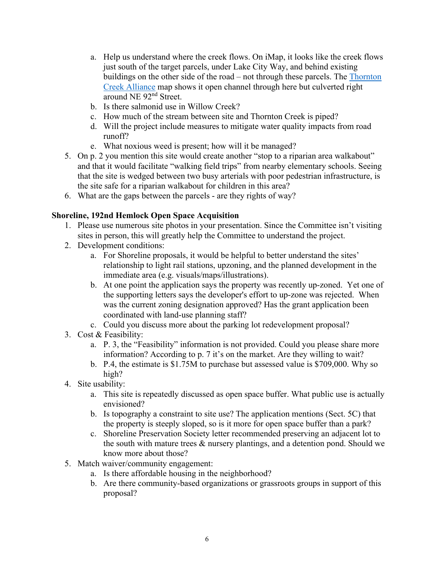- a. Help us understand where the creek flows. On iMap, it looks like the creek flows just south of the target parcels, under Lake City Way, and behind existing buildings on the other side of the road – not through these parcels. The [Thornton](https://i0.wp.com/thorntoncreekalliance.info/wp-content/uploads/2019/03/Thornton-Creek-Watershed-Poster-Low-Res.png?ssl=1)  [Creek Alliance](https://i0.wp.com/thorntoncreekalliance.info/wp-content/uploads/2019/03/Thornton-Creek-Watershed-Poster-Low-Res.png?ssl=1) map shows it open channel through here but culverted right around NE 92nd Street.
- b. Is there salmonid use in Willow Creek?
- c. How much of the stream between site and Thornton Creek is piped?
- d. Will the project include measures to mitigate water quality impacts from road runoff?
- e. What noxious weed is present; how will it be managed?
- 5. On p. 2 you mention this site would create another "stop to a riparian area walkabout" and that it would facilitate "walking field trips" from nearby elementary schools. Seeing that the site is wedged between two busy arterials with poor pedestrian infrastructure, is the site safe for a riparian walkabout for children in this area?
- 6. What are the gaps between the parcels are they rights of way?

#### **Shoreline, 192nd Hemlock Open Space Acquisition**

- 1. Please use numerous site photos in your presentation. Since the Committee isn't visiting sites in person, this will greatly help the Committee to understand the project.
- 2. Development conditions:
	- a. For Shoreline proposals, it would be helpful to better understand the sites' relationship to light rail stations, upzoning, and the planned development in the immediate area (e.g. visuals/maps/illustrations).
	- b. At one point the application says the property was recently up-zoned. Yet one of the supporting letters says the developer's effort to up-zone was rejected. When was the current zoning designation approved? Has the grant application been coordinated with land-use planning staff?
	- c. Could you discuss more about the parking lot redevelopment proposal?
- 3. Cost & Feasibility:
	- a. P. 3, the "Feasibility" information is not provided. Could you please share more information? According to p. 7 it's on the market. Are they willing to wait?
	- b. P.4, the estimate is \$1.75M to purchase but assessed value is \$709,000. Why so high?
- 4. Site usability:
	- a. This site is repeatedly discussed as open space buffer. What public use is actually envisioned?
	- b. Is topography a constraint to site use? The application mentions (Sect. 5C) that the property is steeply sloped, so is it more for open space buffer than a park?
	- c. Shoreline Preservation Society letter recommended preserving an adjacent lot to the south with mature trees & nursery plantings, and a detention pond. Should we know more about those?
- 5. Match waiver/community engagement:
	- a. Is there affordable housing in the neighborhood?
	- b. Are there community-based organizations or grassroots groups in support of this proposal?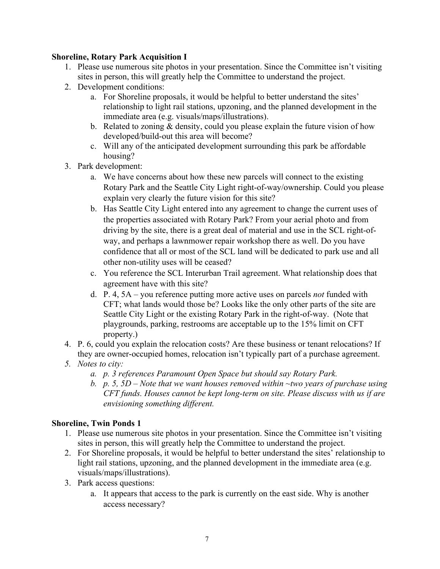#### **Shoreline, Rotary Park Acquisition I**

- 1. Please use numerous site photos in your presentation. Since the Committee isn't visiting sites in person, this will greatly help the Committee to understand the project.
- 2. Development conditions:
	- a. For Shoreline proposals, it would be helpful to better understand the sites' relationship to light rail stations, upzoning, and the planned development in the immediate area (e.g. visuals/maps/illustrations).
	- b. Related to zoning  $&$  density, could you please explain the future vision of how developed/build-out this area will become?
	- c. Will any of the anticipated development surrounding this park be affordable housing?
- 3. Park development:
	- a. We have concerns about how these new parcels will connect to the existing Rotary Park and the Seattle City Light right-of-way/ownership. Could you please explain very clearly the future vision for this site?
	- b. Has Seattle City Light entered into any agreement to change the current uses of the properties associated with Rotary Park? From your aerial photo and from driving by the site, there is a great deal of material and use in the SCL right-ofway, and perhaps a lawnmower repair workshop there as well. Do you have confidence that all or most of the SCL land will be dedicated to park use and all other non-utility uses will be ceased?
	- c. You reference the SCL Interurban Trail agreement. What relationship does that agreement have with this site?
	- d. P. 4, 5A you reference putting more active uses on parcels *not* funded with CFT; what lands would those be? Looks like the only other parts of the site are Seattle City Light or the existing Rotary Park in the right-of-way. (Note that playgrounds, parking, restrooms are acceptable up to the 15% limit on CFT property.)
- 4. P. 6, could you explain the relocation costs? Are these business or tenant relocations? If they are owner-occupied homes, relocation isn't typically part of a purchase agreement.
- *5. Notes to city:*
	- *a. p. 3 references Paramount Open Space but should say Rotary Park.*
	- *b. p. 5, 5D – Note that we want houses removed within ~two years of purchase using CFT funds. Houses cannot be kept long-term on site. Please discuss with us if are envisioning something different.*

#### **Shoreline, Twin Ponds 1**

- 1. Please use numerous site photos in your presentation. Since the Committee isn't visiting sites in person, this will greatly help the Committee to understand the project.
- 2. For Shoreline proposals, it would be helpful to better understand the sites' relationship to light rail stations, upzoning, and the planned development in the immediate area (e.g. visuals/maps/illustrations).
- 3. Park access questions:
	- a. It appears that access to the park is currently on the east side. Why is another access necessary?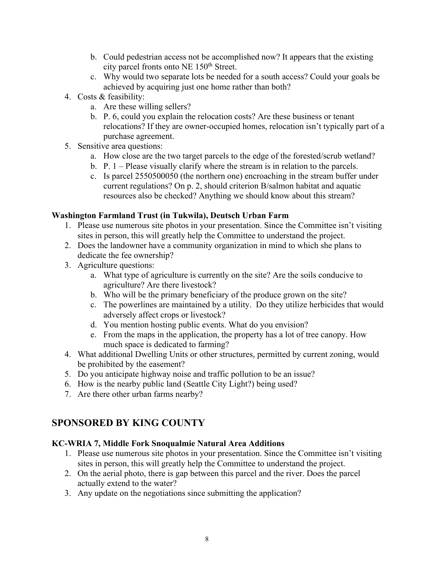- b. Could pedestrian access not be accomplished now? It appears that the existing city parcel fronts onto NE 150<sup>th</sup> Street.
- c. Why would two separate lots be needed for a south access? Could your goals be achieved by acquiring just one home rather than both?
- 4. Costs & feasibility:
	- a. Are these willing sellers?
	- b. P. 6, could you explain the relocation costs? Are these business or tenant relocations? If they are owner-occupied homes, relocation isn't typically part of a purchase agreement.
- 5. Sensitive area questions:
	- a. How close are the two target parcels to the edge of the forested/scrub wetland?
	- b. P. 1 Please visually clarify where the stream is in relation to the parcels.
	- c. Is parcel 2550500050 (the northern one) encroaching in the stream buffer under current regulations? On p. 2, should criterion B/salmon habitat and aquatic resources also be checked? Anything we should know about this stream?

### **Washington Farmland Trust (in Tukwila), Deutsch Urban Farm**

- 1. Please use numerous site photos in your presentation. Since the Committee isn't visiting sites in person, this will greatly help the Committee to understand the project.
- 2. Does the landowner have a community organization in mind to which she plans to dedicate the fee ownership?
- 3. Agriculture questions:
	- a. What type of agriculture is currently on the site? Are the soils conducive to agriculture? Are there livestock?
	- b. Who will be the primary beneficiary of the produce grown on the site?
	- c. The powerlines are maintained by a utility. Do they utilize herbicides that would adversely affect crops or livestock?
	- d. You mention hosting public events. What do you envision?
	- e. From the maps in the application, the property has a lot of tree canopy. How much space is dedicated to farming?
- 4. What additional Dwelling Units or other structures, permitted by current zoning, would be prohibited by the easement?
- 5. Do you anticipate highway noise and traffic pollution to be an issue?
- 6. How is the nearby public land (Seattle City Light?) being used?
- 7. Are there other urban farms nearby?

# **SPONSORED BY KING COUNTY**

#### **KC-WRIA 7, Middle Fork Snoqualmie Natural Area Additions**

- 1. Please use numerous site photos in your presentation. Since the Committee isn't visiting sites in person, this will greatly help the Committee to understand the project.
- 2. On the aerial photo, there is gap between this parcel and the river. Does the parcel actually extend to the water?
- 3. Any update on the negotiations since submitting the application?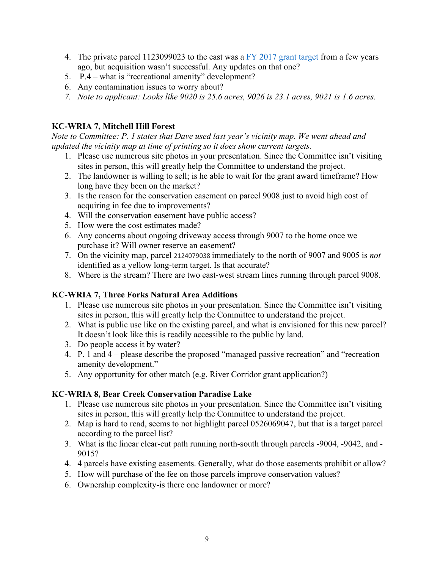- 4. The private parcel 1123099023 to the east was a  $FY$  2017 grant target from a few years ago, but acquisition wasn't successful. Any updates on that one?
- 5. P.4 what is "recreational amenity" development?
- 6. Any contamination issues to worry about?
- *7. Note to applicant: Looks like 9020 is 25.6 acres, 9026 is 23.1 acres, 9021 is 1.6 acres.*

#### **KC-WRIA 7, Mitchell Hill Forest**

*Note to Committee: P. 1 states that Dave used last year's vicinity map. We went ahead and updated the vicinity map at time of printing so it does show current targets.*

- 1. Please use numerous site photos in your presentation. Since the Committee isn't visiting sites in person, this will greatly help the Committee to understand the project.
- 2. The landowner is willing to sell; is he able to wait for the grant award timeframe? How long have they been on the market?
- 3. Is the reason for the conservation easement on parcel 9008 just to avoid high cost of acquiring in fee due to improvements?
- 4. Will the conservation easement have public access?
- 5. How were the cost estimates made?
- 6. Any concerns about ongoing driveway access through 9007 to the home once we purchase it? Will owner reserve an easement?
- 7. On the vicinity map, parcel 2124079038 immediately to the north of 9007 and 9005 is *not* identified as a yellow long-term target. Is that accurate?
- 8. Where is the stream? There are two east-west stream lines running through parcel 9008.

#### **KC-WRIA 7, Three Forks Natural Area Additions**

- 1. Please use numerous site photos in your presentation. Since the Committee isn't visiting sites in person, this will greatly help the Committee to understand the project.
- 2. What is public use like on the existing parcel, and what is envisioned for this new parcel? It doesn't look like this is readily accessible to the public by land.
- 3. Do people access it by water?
- 4. P. 1 and 4 please describe the proposed "managed passive recreation" and "recreation amenity development."
- 5. Any opportunity for other match (e.g. River Corridor grant application?)

#### **KC-WRIA 8, Bear Creek Conservation Paradise Lake**

- 1. Please use numerous site photos in your presentation. Since the Committee isn't visiting sites in person, this will greatly help the Committee to understand the project.
- 2. Map is hard to read, seems to not highlight parcel 0526069047, but that is a target parcel according to the parcel list?
- 3. What is the linear clear-cut path running north-south through parcels -9004, -9042, and 9015?
- 4. 4 parcels have existing easements. Generally, what do those easements prohibit or allow?
- 5. How will purchase of the fee on those parcels improve conservation values?
- 6. Ownership complexity-is there one landowner or more?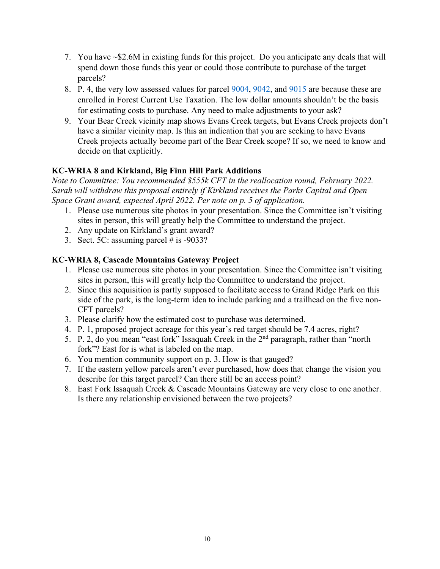- 7. You have ~\$2.6M in existing funds for this project. Do you anticipate any deals that will spend down those funds this year or could those contribute to purchase of the target parcels?
- 8. P. 4, the very low assessed values for parcel  $\frac{9004}{9042}$ , and  $\frac{9015}{9015}$  are because these are enrolled in Forest Current Use Taxation. The low dollar amounts shouldn't be the basis for estimating costs to purchase. Any need to make adjustments to your ask?
- 9. Your Bear Creek vicinity map shows Evans Creek targets, but Evans Creek projects don't have a similar vicinity map. Is this an indication that you are seeking to have Evans Creek projects actually become part of the Bear Creek scope? If so, we need to know and decide on that explicitly.

## **KC-WRIA 8 and Kirkland, Big Finn Hill Park Additions**

*Note to Committee: You recommended \$555k CFT in the reallocation round, February 2022. Sarah will withdraw this proposal entirely if Kirkland receives the Parks Capital and Open Space Grant award, expected April 2022. Per note on p. 5 of application.* 

- 1. Please use numerous site photos in your presentation. Since the Committee isn't visiting sites in person, this will greatly help the Committee to understand the project.
- 2. Any update on Kirkland's grant award?
- 3. Sect. 5C: assuming parcel  $\#$  is -9033?

#### **KC-WRIA 8, Cascade Mountains Gateway Project**

- 1. Please use numerous site photos in your presentation. Since the Committee isn't visiting sites in person, this will greatly help the Committee to understand the project.
- 2. Since this acquisition is partly supposed to facilitate access to Grand Ridge Park on this side of the park, is the long-term idea to include parking and a trailhead on the five non-CFT parcels?
- 3. Please clarify how the estimated cost to purchase was determined.
- 4. P. 1, proposed project acreage for this year's red target should be 7.4 acres, right?
- 5. P. 2, do you mean "east fork" Issaquah Creek in the  $2<sup>nd</sup>$  paragraph, rather than "north" fork"? East for is what is labeled on the map.
- 6. You mention community support on p. 3. How is that gauged?
- 7. If the eastern yellow parcels aren't ever purchased, how does that change the vision you describe for this target parcel? Can there still be an access point?
- 8. East Fork Issaquah Creek & Cascade Mountains Gateway are very close to one another. Is there any relationship envisioned between the two projects?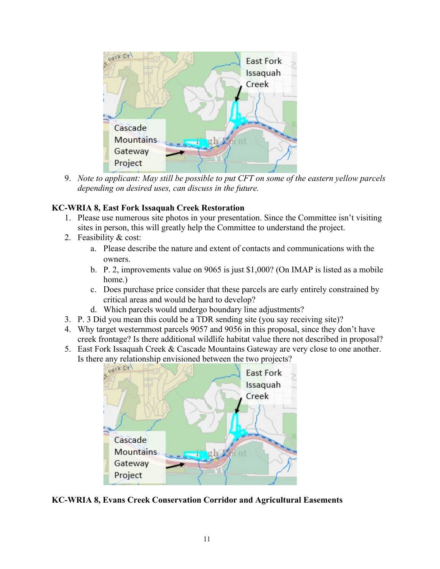

9. *Note to applicant: May still be possible to put CFT on some of the eastern yellow parcels depending on desired uses, can discuss in the future.*

#### **KC-WRIA 8, East Fork Issaquah Creek Restoration**

- 1. Please use numerous site photos in your presentation. Since the Committee isn't visiting sites in person, this will greatly help the Committee to understand the project.
- 2. Feasibility & cost:
	- a. Please describe the nature and extent of contacts and communications with the owners.
	- b. P. 2, improvements value on 9065 is just \$1,000? (On IMAP is listed as a mobile home.)
	- c. Does purchase price consider that these parcels are early entirely constrained by critical areas and would be hard to develop?
	- d. Which parcels would undergo boundary line adjustments?
- 3. P. 3 Did you mean this could be a TDR sending site (you say receiving site)?
- 4. Why target westernmost parcels 9057 and 9056 in this proposal, since they don't have creek frontage? Is there additional wildlife habitat value there not described in proposal?
- 5. East Fork Issaquah Creek & Cascade Mountains Gateway are very close to one another.



**KC-WRIA 8, Evans Creek Conservation Corridor and Agricultural Easements**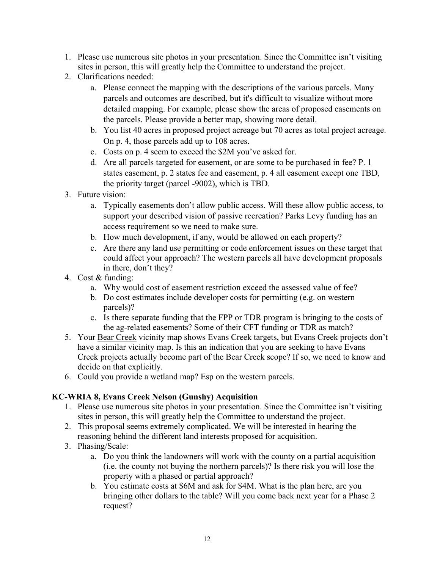- 1. Please use numerous site photos in your presentation. Since the Committee isn't visiting sites in person, this will greatly help the Committee to understand the project.
- 2. Clarifications needed:
	- a. Please connect the mapping with the descriptions of the various parcels. Many parcels and outcomes are described, but it's difficult to visualize without more detailed mapping. For example, please show the areas of proposed easements on the parcels. Please provide a better map, showing more detail.
	- b. You list 40 acres in proposed project acreage but 70 acres as total project acreage. On p. 4, those parcels add up to 108 acres.
	- c. Costs on p. 4 seem to exceed the \$2M you've asked for.
	- d. Are all parcels targeted for easement, or are some to be purchased in fee? P. 1 states easement, p. 2 states fee and easement, p. 4 all easement except one TBD, the priority target (parcel -9002), which is TBD.
- 3. Future vision:
	- a. Typically easements don't allow public access. Will these allow public access, to support your described vision of passive recreation? Parks Levy funding has an access requirement so we need to make sure.
	- b. How much development, if any, would be allowed on each property?
	- c. Are there any land use permitting or code enforcement issues on these target that could affect your approach? The western parcels all have development proposals in there, don't they?
- 4. Cost & funding:
	- a. Why would cost of easement restriction exceed the assessed value of fee?
	- b. Do cost estimates include developer costs for permitting (e.g. on western parcels)?
	- c. Is there separate funding that the FPP or TDR program is bringing to the costs of the ag-related easements? Some of their CFT funding or TDR as match?
- 5. Your Bear Creek vicinity map shows Evans Creek targets, but Evans Creek projects don't have a similar vicinity map. Is this an indication that you are seeking to have Evans Creek projects actually become part of the Bear Creek scope? If so, we need to know and decide on that explicitly.
- 6. Could you provide a wetland map? Esp on the western parcels.

## **KC-WRIA 8, Evans Creek Nelson (Gunshy) Acquisition**

- 1. Please use numerous site photos in your presentation. Since the Committee isn't visiting sites in person, this will greatly help the Committee to understand the project.
- 2. This proposal seems extremely complicated. We will be interested in hearing the reasoning behind the different land interests proposed for acquisition.
- 3. Phasing/Scale:
	- a. Do you think the landowners will work with the county on a partial acquisition (i.e. the county not buying the northern parcels)? Is there risk you will lose the property with a phased or partial approach?
	- b. You estimate costs at \$6M and ask for \$4M. What is the plan here, are you bringing other dollars to the table? Will you come back next year for a Phase 2 request?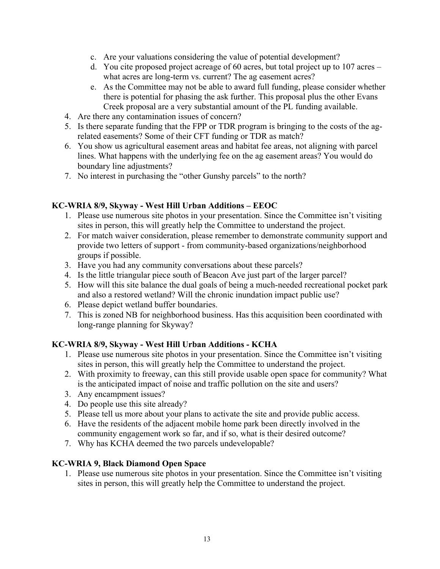- c. Are your valuations considering the value of potential development?
- d. You cite proposed project acreage of 60 acres, but total project up to 107 acres what acres are long-term vs. current? The ag easement acres?
- e. As the Committee may not be able to award full funding, please consider whether there is potential for phasing the ask further. This proposal plus the other Evans Creek proposal are a very substantial amount of the PL funding available.
- 4. Are there any contamination issues of concern?
- 5. Is there separate funding that the FPP or TDR program is bringing to the costs of the agrelated easements? Some of their CFT funding or TDR as match?
- 6. You show us agricultural easement areas and habitat fee areas, not aligning with parcel lines. What happens with the underlying fee on the ag easement areas? You would do boundary line adjustments?
- 7. No interest in purchasing the "other Gunshy parcels" to the north?

#### **KC-WRIA 8/9, Skyway - West Hill Urban Additions – EEOC**

- 1. Please use numerous site photos in your presentation. Since the Committee isn't visiting sites in person, this will greatly help the Committee to understand the project.
- 2. For match waiver consideration, please remember to demonstrate community support and provide two letters of support - from community-based organizations/neighborhood groups if possible.
- 3. Have you had any community conversations about these parcels?
- 4. Is the little triangular piece south of Beacon Ave just part of the larger parcel?
- 5. How will this site balance the dual goals of being a much-needed recreational pocket park and also a restored wetland? Will the chronic inundation impact public use?
- 6. Please depict wetland buffer boundaries.
- 7. This is zoned NB for neighborhood business. Has this acquisition been coordinated with long-range planning for Skyway?

#### **KC-WRIA 8/9, Skyway - West Hill Urban Additions - KCHA**

- 1. Please use numerous site photos in your presentation. Since the Committee isn't visiting sites in person, this will greatly help the Committee to understand the project.
- 2. With proximity to freeway, can this still provide usable open space for community? What is the anticipated impact of noise and traffic pollution on the site and users?
- 3. Any encampment issues?
- 4. Do people use this site already?
- 5. Please tell us more about your plans to activate the site and provide public access.
- 6. Have the residents of the adjacent mobile home park been directly involved in the community engagement work so far, and if so, what is their desired outcome?
- 7. Why has KCHA deemed the two parcels undevelopable?

#### **KC-WRIA 9, Black Diamond Open Space**

1. Please use numerous site photos in your presentation. Since the Committee isn't visiting sites in person, this will greatly help the Committee to understand the project.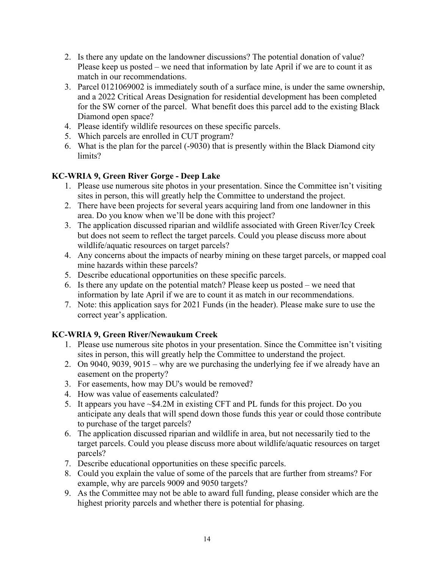- 2. Is there any update on the landowner discussions? The potential donation of value? Please keep us posted – we need that information by late April if we are to count it as match in our recommendations.
- 3. Parcel 0121069002 is immediately south of a surface mine, is under the same ownership, and a 2022 Critical Areas Designation for residential development has been completed for the SW corner of the parcel. What benefit does this parcel add to the existing Black Diamond open space?
- 4. Please identify wildlife resources on these specific parcels.
- 5. Which parcels are enrolled in CUT program?
- 6. What is the plan for the parcel (-9030) that is presently within the Black Diamond city limits?

# **KC-WRIA 9, Green River Gorge - Deep Lake**

- 1. Please use numerous site photos in your presentation. Since the Committee isn't visiting sites in person, this will greatly help the Committee to understand the project.
- 2. There have been projects for several years acquiring land from one landowner in this area. Do you know when we'll be done with this project?
- 3. The application discussed riparian and wildlife associated with Green River/Icy Creek but does not seem to reflect the target parcels. Could you please discuss more about wildlife/aquatic resources on target parcels?
- 4. Any concerns about the impacts of nearby mining on these target parcels, or mapped coal mine hazards within these parcels?
- 5. Describe educational opportunities on these specific parcels.
- 6. Is there any update on the potential match? Please keep us posted we need that information by late April if we are to count it as match in our recommendations.
- 7. Note: this application says for 2021 Funds (in the header). Please make sure to use the correct year's application.

## **KC-WRIA 9, Green River/Newaukum Creek**

- 1. Please use numerous site photos in your presentation. Since the Committee isn't visiting sites in person, this will greatly help the Committee to understand the project.
- 2. On 9040, 9039, 9015 why are we purchasing the underlying fee if we already have an easement on the property?
- 3. For easements, how may DU's would be removed?
- 4. How was value of easements calculated?
- 5. It appears you have ~\$4.2M in existing CFT and PL funds for this project. Do you anticipate any deals that will spend down those funds this year or could those contribute to purchase of the target parcels?
- 6. The application discussed riparian and wildlife in area, but not necessarily tied to the target parcels. Could you please discuss more about wildlife/aquatic resources on target parcels?
- 7. Describe educational opportunities on these specific parcels.
- 8. Could you explain the value of some of the parcels that are further from streams? For example, why are parcels 9009 and 9050 targets?
- 9. As the Committee may not be able to award full funding, please consider which are the highest priority parcels and whether there is potential for phasing.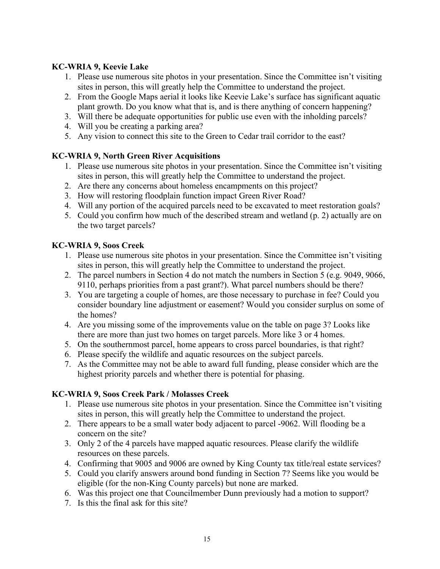### **KC-WRIA 9, Keevie Lake**

- 1. Please use numerous site photos in your presentation. Since the Committee isn't visiting sites in person, this will greatly help the Committee to understand the project.
- 2. From the Google Maps aerial it looks like Keevie Lake's surface has significant aquatic plant growth. Do you know what that is, and is there anything of concern happening?
- 3. Will there be adequate opportunities for public use even with the inholding parcels?
- 4. Will you be creating a parking area?
- 5. Any vision to connect this site to the Green to Cedar trail corridor to the east?

## **KC-WRIA 9, North Green River Acquisitions**

- 1. Please use numerous site photos in your presentation. Since the Committee isn't visiting sites in person, this will greatly help the Committee to understand the project.
- 2. Are there any concerns about homeless encampments on this project?
- 3. How will restoring floodplain function impact Green River Road?
- 4. Will any portion of the acquired parcels need to be excavated to meet restoration goals?
- 5. Could you confirm how much of the described stream and wetland (p. 2) actually are on the two target parcels?

## **KC-WRIA 9, Soos Creek**

- 1. Please use numerous site photos in your presentation. Since the Committee isn't visiting sites in person, this will greatly help the Committee to understand the project.
- 2. The parcel numbers in Section 4 do not match the numbers in Section 5 (e.g. 9049, 9066, 9110, perhaps priorities from a past grant?). What parcel numbers should be there?
- 3. You are targeting a couple of homes, are those necessary to purchase in fee? Could you consider boundary line adjustment or easement? Would you consider surplus on some of the homes?
- 4. Are you missing some of the improvements value on the table on page 3? Looks like there are more than just two homes on target parcels. More like 3 or 4 homes.
- 5. On the southernmost parcel, home appears to cross parcel boundaries, is that right?
- 6. Please specify the wildlife and aquatic resources on the subject parcels.
- 7. As the Committee may not be able to award full funding, please consider which are the highest priority parcels and whether there is potential for phasing.

## **KC-WRIA 9, Soos Creek Park / Molasses Creek**

- 1. Please use numerous site photos in your presentation. Since the Committee isn't visiting sites in person, this will greatly help the Committee to understand the project.
- 2. There appears to be a small water body adjacent to parcel -9062. Will flooding be a concern on the site?
- 3. Only 2 of the 4 parcels have mapped aquatic resources. Please clarify the wildlife resources on these parcels.
- 4. Confirming that 9005 and 9006 are owned by King County tax title/real estate services?
- 5. Could you clarify answers around bond funding in Section 7? Seems like you would be eligible (for the non-King County parcels) but none are marked.
- 6. Was this project one that Councilmember Dunn previously had a motion to support?
- 7. Is this the final ask for this site?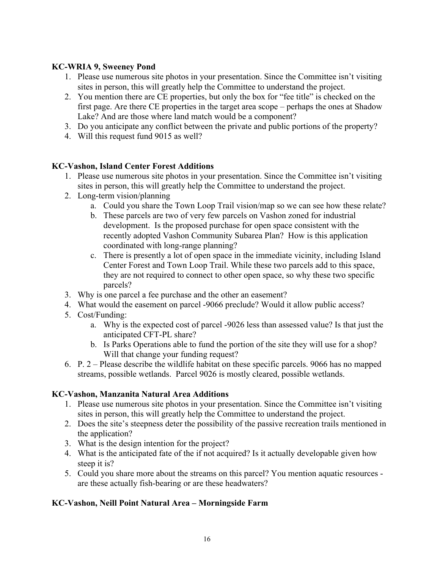#### **KC-WRIA 9, Sweeney Pond**

- 1. Please use numerous site photos in your presentation. Since the Committee isn't visiting sites in person, this will greatly help the Committee to understand the project.
- 2. You mention there are CE properties, but only the box for "fee title" is checked on the first page. Are there CE properties in the target area scope – perhaps the ones at Shadow Lake? And are those where land match would be a component?
- 3. Do you anticipate any conflict between the private and public portions of the property?
- 4. Will this request fund 9015 as well?

### **KC-Vashon, Island Center Forest Additions**

- 1. Please use numerous site photos in your presentation. Since the Committee isn't visiting sites in person, this will greatly help the Committee to understand the project.
- 2. Long-term vision/planning
	- a. Could you share the Town Loop Trail vision/map so we can see how these relate?
	- b. These parcels are two of very few parcels on Vashon zoned for industrial development. Is the proposed purchase for open space consistent with the recently adopted Vashon Community Subarea Plan? How is this application coordinated with long-range planning?
	- c. There is presently a lot of open space in the immediate vicinity, including Island Center Forest and Town Loop Trail. While these two parcels add to this space, they are not required to connect to other open space, so why these two specific parcels?
- 3. Why is one parcel a fee purchase and the other an easement?
- 4. What would the easement on parcel -9066 preclude? Would it allow public access?
- 5. Cost/Funding:
	- a. Why is the expected cost of parcel -9026 less than assessed value? Is that just the anticipated CFT-PL share?
	- b. Is Parks Operations able to fund the portion of the site they will use for a shop? Will that change your funding request?
- 6. P. 2 Please describe the wildlife habitat on these specific parcels. 9066 has no mapped streams, possible wetlands. Parcel 9026 is mostly cleared, possible wetlands.

## **KC-Vashon, Manzanita Natural Area Additions**

- 1. Please use numerous site photos in your presentation. Since the Committee isn't visiting sites in person, this will greatly help the Committee to understand the project.
- 2. Does the site's steepness deter the possibility of the passive recreation trails mentioned in the application?
- 3. What is the design intention for the project?
- 4. What is the anticipated fate of the if not acquired? Is it actually developable given how steep it is?
- 5. Could you share more about the streams on this parcel? You mention aquatic resources are these actually fish-bearing or are these headwaters?

## **KC-Vashon, Neill Point Natural Area – Morningside Farm**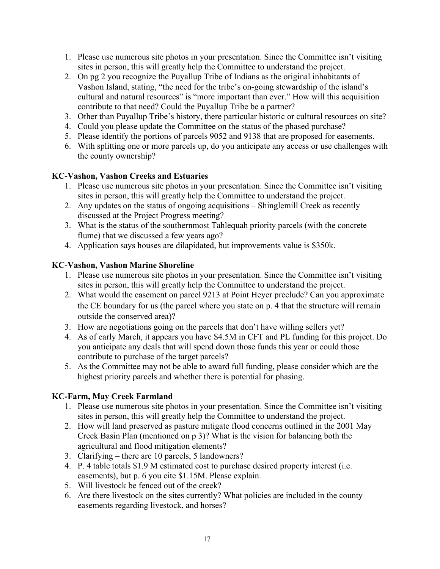- 1. Please use numerous site photos in your presentation. Since the Committee isn't visiting sites in person, this will greatly help the Committee to understand the project.
- 2. On pg 2 you recognize the Puyallup Tribe of Indians as the original inhabitants of Vashon Island, stating, "the need for the tribe's on-going stewardship of the island's cultural and natural resources" is "more important than ever." How will this acquisition contribute to that need? Could the Puyallup Tribe be a partner?
- 3. Other than Puyallup Tribe's history, there particular historic or cultural resources on site?
- 4. Could you please update the Committee on the status of the phased purchase?
- 5. Please identify the portions of parcels 9052 and 9138 that are proposed for easements.
- 6. With splitting one or more parcels up, do you anticipate any access or use challenges with the county ownership?

#### **KC-Vashon, Vashon Creeks and Estuaries**

- 1. Please use numerous site photos in your presentation. Since the Committee isn't visiting sites in person, this will greatly help the Committee to understand the project.
- 2. Any updates on the status of ongoing acquisitions Shinglemill Creek as recently discussed at the Project Progress meeting?
- 3. What is the status of the southernmost Tahlequah priority parcels (with the concrete flume) that we discussed a few years ago?
- 4. Application says houses are dilapidated, but improvements value is \$350k.

### **KC-Vashon, Vashon Marine Shoreline**

- 1. Please use numerous site photos in your presentation. Since the Committee isn't visiting sites in person, this will greatly help the Committee to understand the project.
- 2. What would the easement on parcel 9213 at Point Heyer preclude? Can you approximate the CE boundary for us (the parcel where you state on p. 4 that the structure will remain outside the conserved area)?
- 3. How are negotiations going on the parcels that don't have willing sellers yet?
- 4. As of early March, it appears you have \$4.5M in CFT and PL funding for this project. Do you anticipate any deals that will spend down those funds this year or could those contribute to purchase of the target parcels?
- 5. As the Committee may not be able to award full funding, please consider which are the highest priority parcels and whether there is potential for phasing.

#### **KC-Farm, May Creek Farmland**

- 1. Please use numerous site photos in your presentation. Since the Committee isn't visiting sites in person, this will greatly help the Committee to understand the project.
- 2. How will land preserved as pasture mitigate flood concerns outlined in the 2001 May Creek Basin Plan (mentioned on p 3)? What is the vision for balancing both the agricultural and flood mitigation elements?
- 3. Clarifying there are 10 parcels, 5 landowners?
- 4. P. 4 table totals \$1.9 M estimated cost to purchase desired property interest (i.e. easements), but p. 6 you cite \$1.15M. Please explain.
- 5. Will livestock be fenced out of the creek?
- 6. Are there livestock on the sites currently? What policies are included in the county easements regarding livestock, and horses?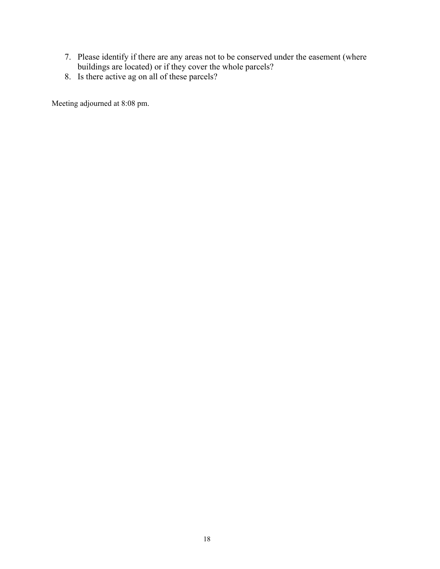- 7. Please identify if there are any areas not to be conserved under the easement (where buildings are located) or if they cover the whole parcels?
- 8. Is there active ag on all of these parcels?

Meeting adjourned at 8:08 pm.